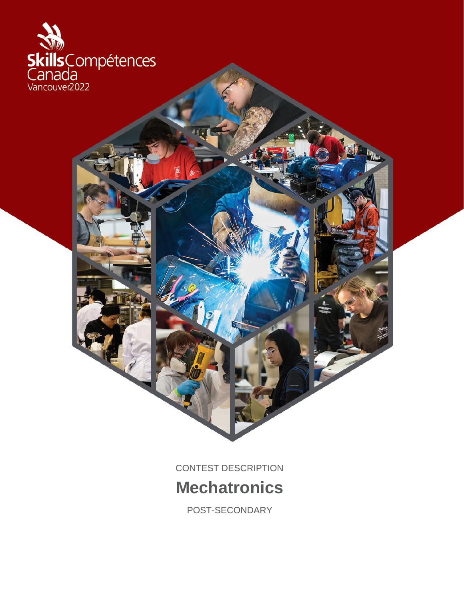

CONTEST DESCRIPTION

# **Mechatronics**

POST-SECONDARY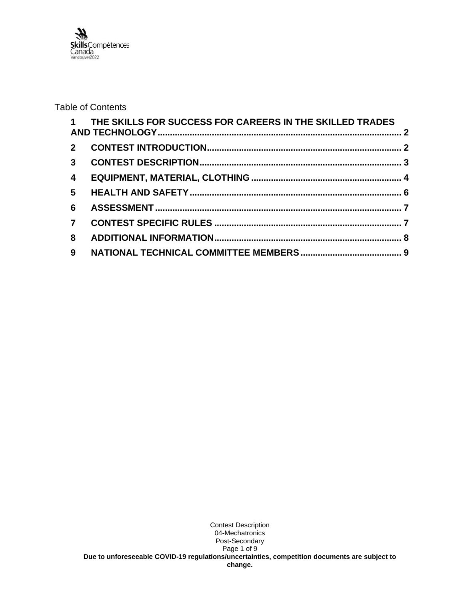

# Table of Contents

|                | 1 THE SKILLS FOR SUCCESS FOR CAREERS IN THE SKILLED TRADES |  |
|----------------|------------------------------------------------------------|--|
|                |                                                            |  |
|                |                                                            |  |
| $\overline{4}$ |                                                            |  |
| 5 <sup>5</sup> |                                                            |  |
| 6              |                                                            |  |
| $\overline{7}$ |                                                            |  |
| 8              |                                                            |  |
| 9              |                                                            |  |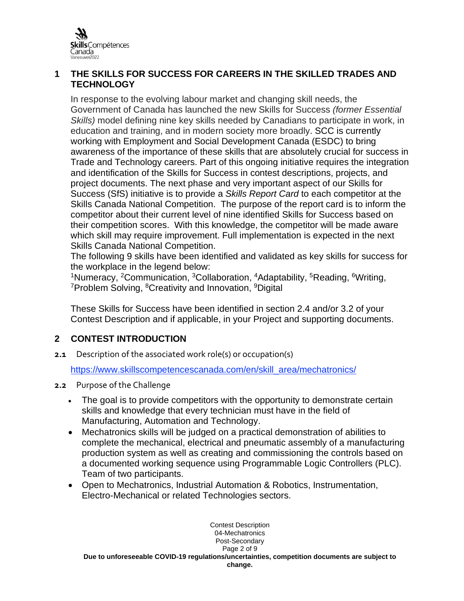

# <span id="page-2-0"></span>**1 THE SKILLS FOR SUCCESS FOR CAREERS IN THE SKILLED TRADES AND TECHNOLOGY**

In response to the evolving labour market and changing skill needs, the Government of Canada has launched the new Skills for Success *(former Essential Skills)* model defining nine key skills needed by Canadians to participate in work, in education and training, and in modern society more broadly. SCC is currently working with Employment and Social Development Canada (ESDC) to bring awareness of the importance of these skills that are absolutely crucial for success in Trade and Technology careers. Part of this ongoing initiative requires the integration and identification of the Skills for Success in contest descriptions, projects, and project documents. The next phase and very important aspect of our Skills for Success (SfS) initiative is to provide a *Skills Report Card* to each competitor at the Skills Canada National Competition. The purpose of the report card is to inform the competitor about their current level of nine identified Skills for Success based on their competition scores. With this knowledge, the competitor will be made aware which skill may require improvement. Full implementation is expected in the next Skills Canada National Competition.

The following 9 skills have been identified and validated as key skills for success for the workplace in the legend below:

<sup>1</sup>Numeracy, <sup>2</sup>Communication, <sup>3</sup>Collaboration, <sup>4</sup>Adaptability, <sup>5</sup>Reading, <sup>6</sup>Writing, <sup>7</sup>Problem Solving, <sup>8</sup>Creativity and Innovation, <sup>9</sup>Digital

These Skills for Success have been identified in section 2.4 and/or 3.2 of your Contest Description and if applicable, in your Project and supporting documents.

# <span id="page-2-1"></span>**2 CONTEST INTRODUCTION**

**2.1** Description of the associated work role(s) or occupation(s)

[https://www.skillscompetencescanada.com/en/skill\\_area/mechatronics/](https://www.skillscompetencescanada.com/en/skill_area/mechatronics/)

- **2.2** Purpose of the Challenge
	- The goal is to provide competitors with the opportunity to demonstrate certain skills and knowledge that every technician must have in the field of Manufacturing, Automation and Technology.
	- Mechatronics skills will be judged on a practical demonstration of abilities to complete the mechanical, electrical and pneumatic assembly of a manufacturing production system as well as creating and commissioning the controls based on a documented working sequence using Programmable Logic Controllers (PLC). Team of two participants.
	- Open to Mechatronics, Industrial Automation & Robotics, Instrumentation, Electro-Mechanical or related Technologies sectors.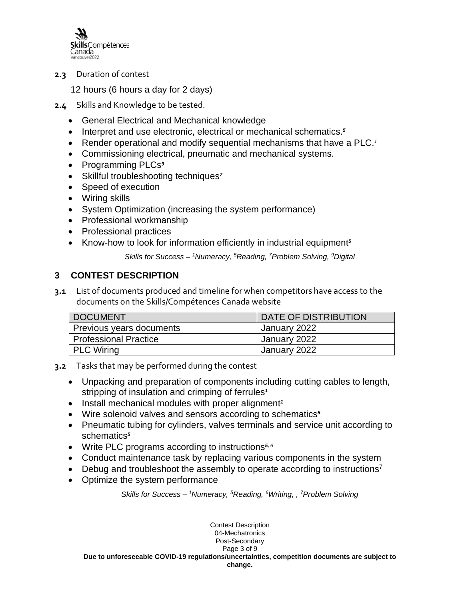

**2.3** Duration of contest

12 hours (6 hours a day for 2 days)

- **2.4** Skills and Knowledge to be tested.
	- General Electrical and Mechanical knowledge
	- Interpret and use electronic, electrical or mechanical schematics.*<sup>5</sup>*
	- Render operational and modify sequential mechanisms that have a PLC.*<sup>1</sup>*
	- Commissioning electrical, pneumatic and mechanical systems.
	- Programming PLCs*<sup>9</sup>*
	- Skillful troubleshooting techniques*<sup>7</sup>*
	- Speed of execution
	- Wiring skills
	- System Optimization (increasing the system performance)
	- Professional workmanship
	- Professional practices
	- Know-how to look for information efficiently in industrial equipment*<sup>5</sup>*

*Skills for Success – <sup>1</sup>Numeracy, <sup>5</sup>Reading, <sup>7</sup>Problem Solving, <sup>9</sup>Digital*

# <span id="page-3-0"></span>**3 CONTEST DESCRIPTION**

**3.1** List of documents produced and timeline for when competitors have access to the documents on the Skills/Compétences Canada website

| <b>DOCUMENT</b>          | DATE OF DISTRIBUTION |
|--------------------------|----------------------|
| Previous years documents | January 2022         |
| Professional Practice    | January 2022         |
| PLC Wiring               | January 2022         |

- **3.2** Tasks that may be performed during the contest
	- Unpacking and preparation of components including cutting cables to length, stripping of insulation and crimping of ferrules*<sup>1</sup>*
	- Install mechanical modules with proper alignment*<sup>1</sup>*
	- Wire solenoid valves and sensors according to schematics*<sup>5</sup>*
	- Pneumatic tubing for cylinders, valves terminals and service unit according to schematics*<sup>5</sup>*
	- Write PLC programs according to instructions*5, <sup>6</sup>*
	- Conduct maintenance task by replacing various components in the system
	- Debug and troubleshoot the assembly to operate according to instructions<sup>7</sup>
	- Optimize the system performance

*Skills for Success – <sup>1</sup>Numeracy, <sup>5</sup>Reading, <sup>6</sup>Writing, , <sup>7</sup>Problem Solving*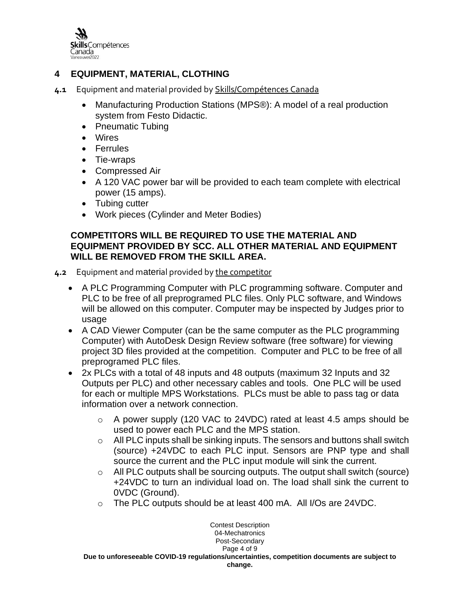

# <span id="page-4-0"></span>**4 EQUIPMENT, MATERIAL, CLOTHING**

- **4.1** Equipment and material provided by Skills/Compétences Canada
	- Manufacturing Production Stations (MPS®): A model of a real production system from Festo Didactic.
	- Pneumatic Tubing
	- Wires
	- Ferrules
	- Tie-wraps
	- Compressed Air
	- A 120 VAC power bar will be provided to each team complete with electrical power (15 amps).
	- Tubing cutter
	- Work pieces (Cylinder and Meter Bodies)

## **COMPETITORS WILL BE REQUIRED TO USE THE MATERIAL AND EQUIPMENT PROVIDED BY SCC. ALL OTHER MATERIAL AND EQUIPMENT WILL BE REMOVED FROM THE SKILL AREA.**

- **4.2** Equipment and material provided by the competitor
	- A PLC Programming Computer with PLC programming software. Computer and PLC to be free of all preprogramed PLC files. Only PLC software, and Windows will be allowed on this computer. Computer may be inspected by Judges prior to usage
	- A CAD Viewer Computer (can be the same computer as the PLC programming Computer) with AutoDesk Design Review software (free software) for viewing project 3D files provided at the competition. Computer and PLC to be free of all preprogramed PLC files.
	- 2x PLCs with a total of 48 inputs and 48 outputs (maximum 32 Inputs and 32 Outputs per PLC) and other necessary cables and tools. One PLC will be used for each or multiple MPS Workstations. PLCs must be able to pass tag or data information over a network connection.
		- $\circ$  A power supply (120 VAC to 24VDC) rated at least 4.5 amps should be used to power each PLC and the MPS station.
		- o All PLC inputs shall be sinking inputs. The sensors and buttons shall switch (source) +24VDC to each PLC input. Sensors are PNP type and shall source the current and the PLC input module will sink the current.
		- o All PLC outputs shall be sourcing outputs. The output shall switch (source) +24VDC to turn an individual load on. The load shall sink the current to 0VDC (Ground).
		- o The PLC outputs should be at least 400 mA. All I/Os are 24VDC.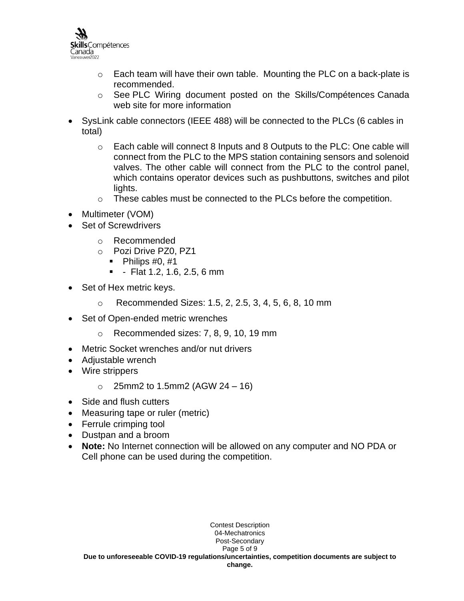

- $\circ$  Each team will have their own table. Mounting the PLC on a back-plate is recommended.
- o See PLC Wiring document posted on the Skills/Compétences Canada web site for more information
- SysLink cable connectors (IEEE 488) will be connected to the PLCs (6 cables in total)
	- $\circ$  Each cable will connect 8 Inputs and 8 Outputs to the PLC: One cable will connect from the PLC to the MPS station containing sensors and solenoid valves. The other cable will connect from the PLC to the control panel, which contains operator devices such as pushbuttons, switches and pilot lights.
	- o These cables must be connected to the PLCs before the competition.
- Multimeter (VOM)
- Set of Screwdrivers
	- o Recommended
	- o Pozi Drive PZ0, PZ1
		- $\blacksquare$  Philips #0, #1
		- - Flat 1.2, 1.6, 2.5, 6 mm
- Set of Hex metric keys.
	- o Recommended Sizes: 1.5, 2, 2.5, 3, 4, 5, 6, 8, 10 mm
- Set of Open-ended metric wrenches
	- o Recommended sizes: 7, 8, 9, 10, 19 mm
- Metric Socket wrenches and/or nut drivers
- Adiustable wrench
- Wire strippers
	- $\circ$  25mm2 to 1.5mm2 (AGW 24 16)
- Side and flush cutters
- Measuring tape or ruler (metric)
- Ferrule crimping tool
- Dustpan and a broom
- **Note:** No Internet connection will be allowed on any computer and NO PDA or Cell phone can be used during the competition.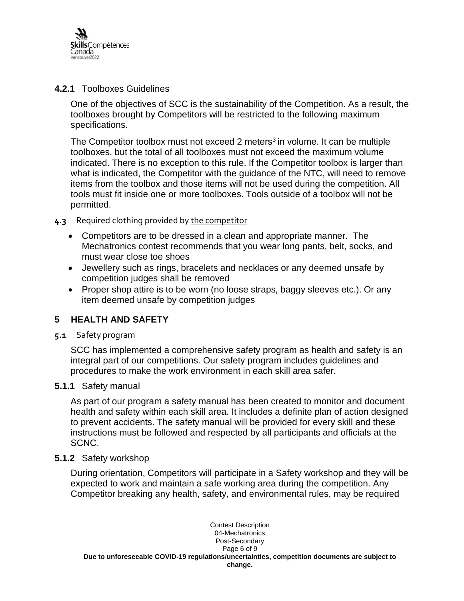

### **4.2.1** Toolboxes Guidelines

One of the objectives of SCC is the sustainability of the Competition. As a result, the toolboxes brought by Competitors will be restricted to the following maximum specifications.

The Competitor toolbox must not exceed 2 meters<sup>3</sup> in volume. It can be multiple toolboxes, but the total of all toolboxes must not exceed the maximum volume indicated. There is no exception to this rule. If the Competitor toolbox is larger than what is indicated, the Competitor with the guidance of the NTC, will need to remove items from the toolbox and those items will not be used during the competition. All tools must fit inside one or more toolboxes. Tools outside of a toolbox will not be permitted.

- **4.3** Required clothing provided by the competitor
	- Competitors are to be dressed in a clean and appropriate manner. The Mechatronics contest recommends that you wear long pants, belt, socks, and must wear close toe shoes
	- Jewellery such as rings, bracelets and necklaces or any deemed unsafe by competition judges shall be removed
	- Proper shop attire is to be worn (no loose straps, baggy sleeves etc.). Or any item deemed unsafe by competition judges

## <span id="page-6-0"></span>**5 HEALTH AND SAFETY**

**5.1** Safety program

SCC has implemented a comprehensive safety program as health and safety is an integral part of our competitions. Our safety program includes guidelines and procedures to make the work environment in each skill area safer.

#### **5.1.1** Safety manual

As part of our program a safety manual has been created to monitor and document health and safety within each skill area. It includes a definite plan of action designed to prevent accidents. The safety manual will be provided for every skill and these instructions must be followed and respected by all participants and officials at the SCNC.

#### **5.1.2** Safety workshop

During orientation, Competitors will participate in a Safety workshop and they will be expected to work and maintain a safe working area during the competition. Any Competitor breaking any health, safety, and environmental rules, may be required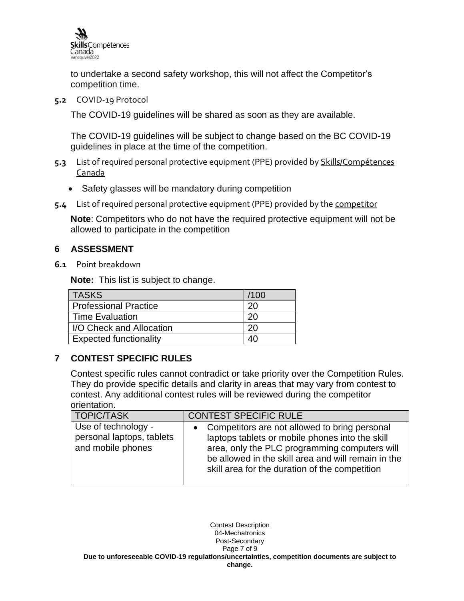

to undertake a second safety workshop, this will not affect the Competitor's competition time.

**5.2** COVID-19 Protocol

The COVID-19 guidelines will be shared as soon as they are available.

The COVID-19 guidelines will be subject to change based on the BC COVID-19 guidelines in place at the time of the competition.

- **5.3** List of required personal protective equipment (PPE) provided by Skills/Compétences Canada
	- Safety glasses will be mandatory during competition
- **5.4** List of required personal protective equipment (PPE) provided by the competitor

**Note**: Competitors who do not have the required protective equipment will not be allowed to participate in the competition

# <span id="page-7-0"></span>**6 ASSESSMENT**

**6.1** Point breakdown

**Note:** This list is subject to change.

| <b>TASKS</b>                  | /100 |
|-------------------------------|------|
| <b>Professional Practice</b>  | 20   |
| <b>Time Evaluation</b>        | 20   |
| I/O Check and Allocation      | 20   |
| <b>Expected functionality</b> |      |

# <span id="page-7-1"></span>**7 CONTEST SPECIFIC RULES**

Contest specific rules cannot contradict or take priority over the Competition Rules. They do provide specific details and clarity in areas that may vary from contest to contest. Any additional contest rules will be reviewed during the competitor orientation.

| <b>TOPIC/TASK</b>                                                     | <b>CONTEST SPECIFIC RULE</b>                                                                                                                                                                                                                                 |
|-----------------------------------------------------------------------|--------------------------------------------------------------------------------------------------------------------------------------------------------------------------------------------------------------------------------------------------------------|
| Use of technology -<br>personal laptops, tablets<br>and mobile phones | • Competitors are not allowed to bring personal<br>laptops tablets or mobile phones into the skill<br>area, only the PLC programming computers will<br>be allowed in the skill area and will remain in the<br>skill area for the duration of the competition |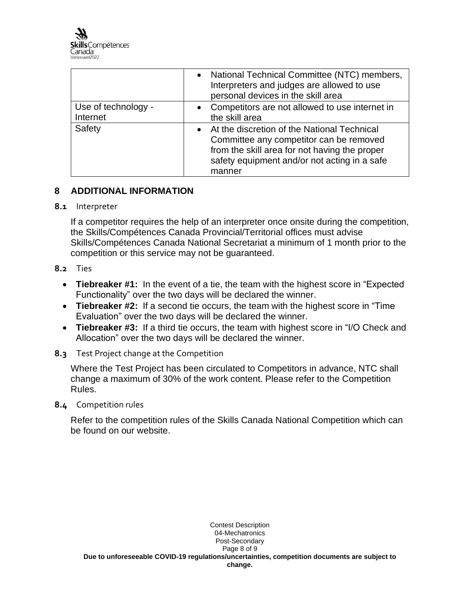

|                                 | National Technical Committee (NTC) members,<br>Interpreters and judges are allowed to use<br>personal devices in the skill area                                                                   |
|---------------------------------|---------------------------------------------------------------------------------------------------------------------------------------------------------------------------------------------------|
| Use of technology -<br>Internet | • Competitors are not allowed to use internet in<br>the skill area                                                                                                                                |
| Safety                          | At the discretion of the National Technical<br>Committee any competitor can be removed<br>from the skill area for not having the proper<br>safety equipment and/or not acting in a safe<br>manner |

# <span id="page-8-0"></span>**8 ADDITIONAL INFORMATION**

#### **8.1** Interpreter

If a competitor requires the help of an interpreter once onsite during the competition, the Skills/Compétences Canada Provincial/Territorial offices must advise Skills/Compétences Canada National Secretariat a minimum of 1 month prior to the competition or this service may not be guaranteed.

#### **8.2** Ties

- **Tiebreaker #1:** In the event of a tie, the team with the highest score in "Expected Functionality" over the two days will be declared the winner.
- **Tiebreaker #2:** If a second tie occurs, the team with the highest score in "Time Evaluation" over the two days will be declared the winner.
- **Tiebreaker #3:** If a third tie occurs, the team with highest score in "I/O Check and Allocation" over the two days will be declared the winner.
- **8.3** Test Project change at the Competition

Where the Test Project has been circulated to Competitors in advance, NTC shall change a maximum of 30% of the work content. Please refer to the Competition Rules.

**8.4** Competition rules

Refer to the competition rules of the Skills Canada National Competition which can be found on our website.